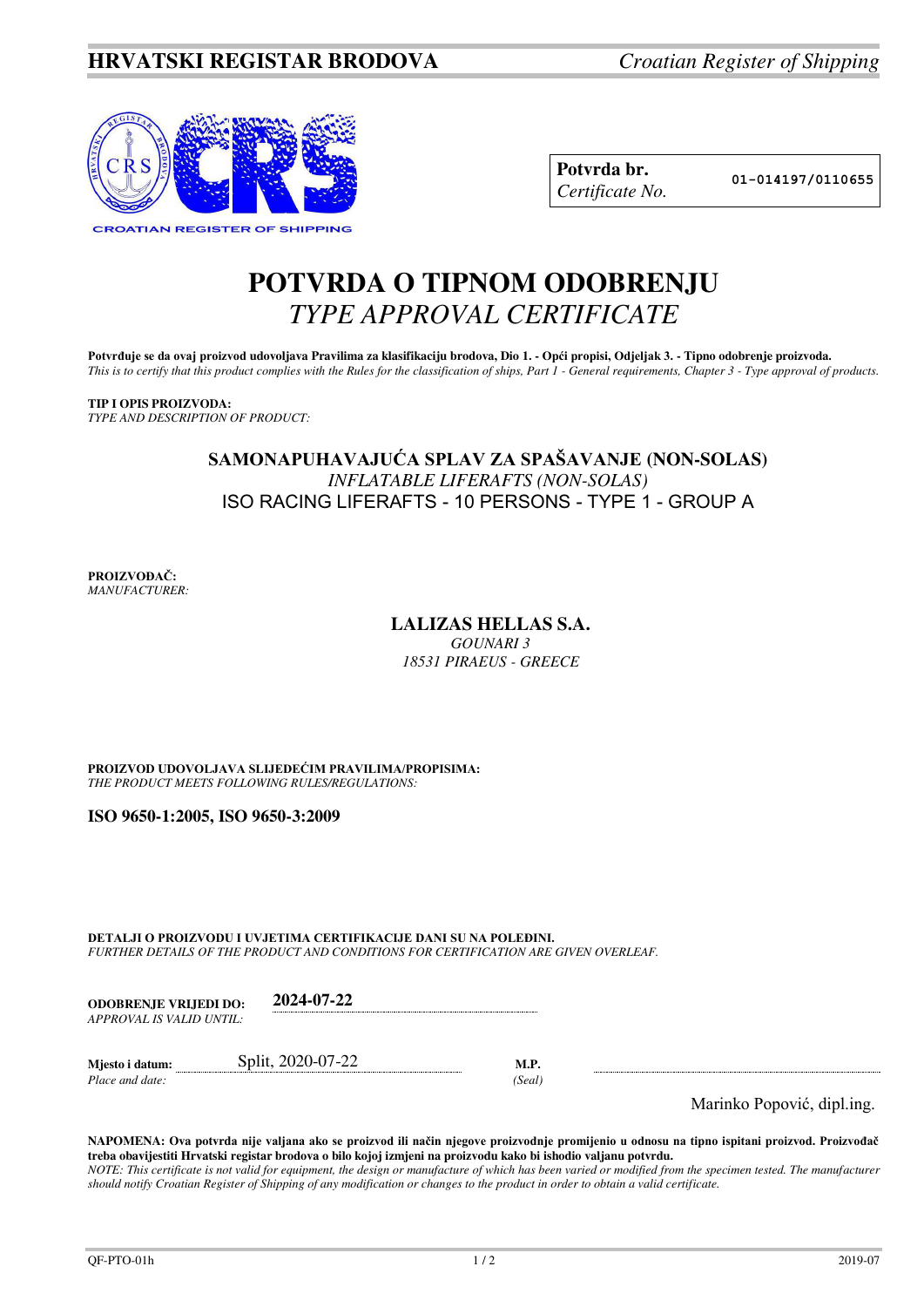

| Potvrda br.     |
|-----------------|
| Certificate No. |

**Potvrda br. 01-014197/0110655**

# **POTVRDA O TIPNOM ODOBRENJU**  *TYPE APPROVAL CERTIFICATE*

Potvrđuje se da ovaj proizvod udovoljava Pravilima za klasifikaciju brodova, Dio 1. - Opći propisi, Odjeljak 3. - Tipno odobrenje proizvoda. *This is to certify that this product complies with the Rules for the classification of ships, Part 1 - General requirements, Chapter 3 - Type approval of products.* 

**TIP I OPIS PROIZVODA:** *TYPE AND DESCRIPTION OF PRODUCT:* 

## **SAMONAPUHAVAJUĆA SPLAV ZA SPAŠAVANJE (NON-SOLAS)**  *INFLATABLE LIFERAFTS (NON-SOLAS)*  ISO RACING LIFERAFTS - 10 PERSONS - TYPE 1 - GROUP A

**PROIZVOĐAČ:** *MANUFACTURER:*

## **LALIZAS HELLAS S.A.**

*GOUNARI 3 18531 PIRAEUS - GREECE*

**PROIZVOD UDOVOLJAVA SLIJEDEĆIM PRAVILIMA/PROPISIMA:** *THE PRODUCT MEETS FOLLOWING RULES/REGULATIONS:* 

**ISO 9650-1:2005, ISO 9650-3:2009**

**DETALJI O PROIZVODU I UVJETIMA CERTIFIKACIJE DANI SU NA POLEĐINI.** *FURTHER DETAILS OF THE PRODUCT AND CONDITIONS FOR CERTIFICATION ARE GIVEN OVERLEAF.* 

| <b>ODOBRENJE VRLIEDI DO:</b> | 2024-07-22 |
|------------------------------|------------|
| APPROVAL IS VALID UNTIL:     |            |

| Miesto i datum: | Split, 2020-07-22 |       |
|-----------------|-------------------|-------|
| Place and date: |                   | Seal' |

Marinko Popović, dipl.ing.

**NAPOMENA: Ova potvrda nije valjana ako se proizvod ili način njegove proizvodnje promijenio u odnosu na tipno ispitani proizvod. Proizvođač treba obavijestiti Hrvatski registar brodova o bilo kojoj izmjeni na proizvodu kako bi ishodio valjanu potvrdu.**  *NOTE: This certificate is not valid for equipment, the design or manufacture of which has been varied or modified from the specimen tested. The manufacturer should notify Croatian Register of Shipping of any modification or changes to the product in order to obtain a valid certificate.*